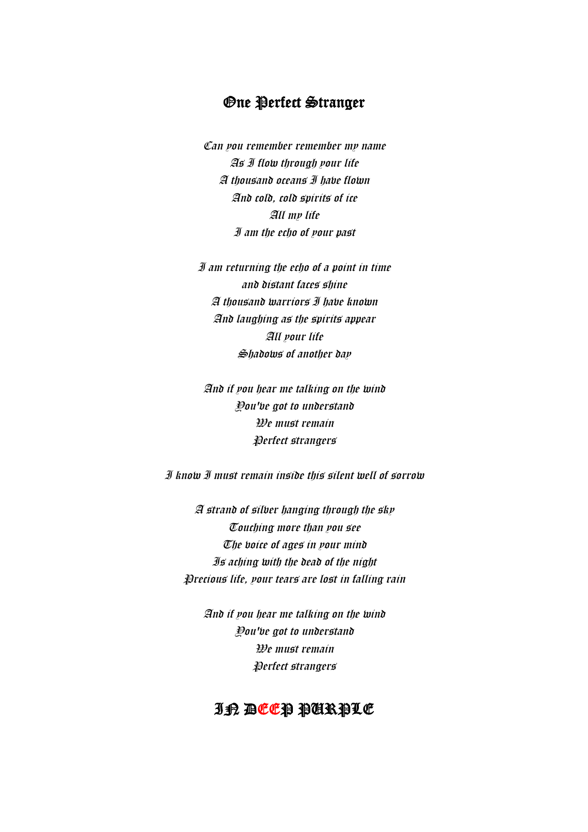## **One Perfect Stranger**

Can you remember remember my name As I flow through your life A thousand oceans I have flown And cold, cold spirits of ice All my life I am the echo of your past

I am returning the echo of <sup>a</sup> point in time and distant faces shine A thousand warriors I have known And laughing as the spirits appear All your life Shadows of another day

And if you hear me talking on the wind You've got to understand We must remain Perfect strangers

I know I must remain inside this silent well of sorrow

A strand of silver hanging through the sky Touching more than you see The voice of ages in your mind Is aching with the dead of the night Precious life, your tears are lost in falling rain

And if you hear me talking on the wind You've got to understand We must remain Perfect strangers

# IN DEEP PURPLE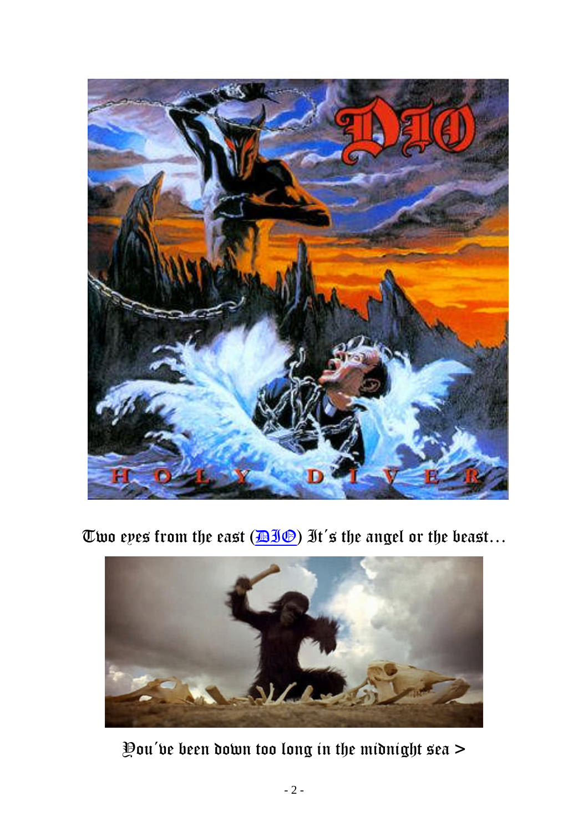

Two eyes from the east  $(\overline{M}\overline{M}\mathcal{D})$  It's the angel or the beast...



You´ve been down too long in the midnight sea >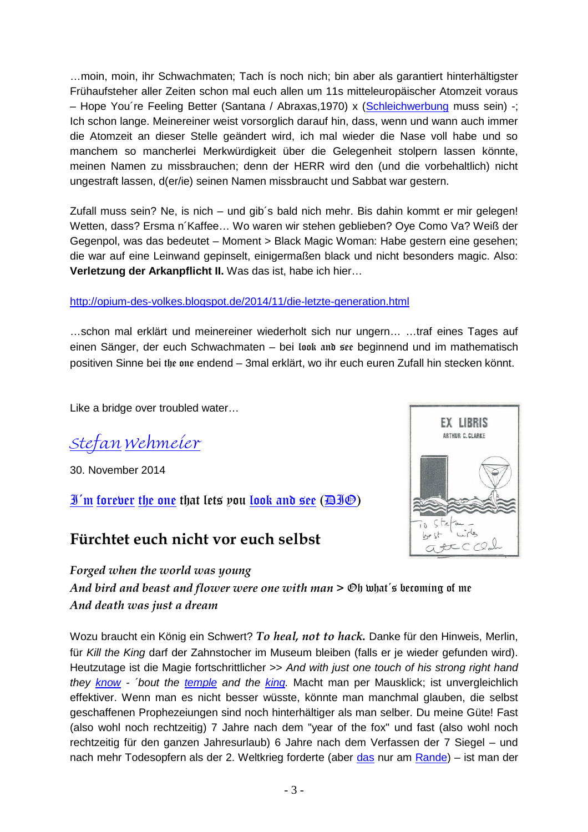…moin, moin, ihr Schwachmaten; Tach ís noch nich; bin aber als garantiert hinterhältigster Frühaufsteher aller Zeiten schon mal euch allen um 11s mitteleuropäischer Atomzeit voraus – Hope You´re Feeling Better (Santana / Abraxas,1970)x [\(Schleichwerbung](http://www.audio-optimum.com/#!sonus-fidelis-2/) muss sein) -; Ich schon lange. Meinereiner weist vorsorglich darauf hin, dass, wenn und wann auch immer die Atomzeit an dieser Stelle geändert wird, ich mal wieder die Nase voll habe und so manchem so mancherlei Merkwürdigkeit über die Gelegenheit stolpern lassen könnte, meinen Namen zu missbrauchen; denn der HERR wird den (und die vorbehaltlich) nicht ungestraft lassen, d(er/ie) seinen Namen missbraucht und Sabbat war gestern.

Zufall muss sein? Ne, is nich – und gib s bald nich mehr. Bis dahin kommt er mir gelegen! Wetten, dass? Ersma n´Kaffee… Wo waren wir stehen geblieben? Oye Como Va? Weiß der Gegenpol, was das bedeutet – Moment > Black Magic Woman: Habe gestern eine gesehen; die war auf eine Leinwand gepinselt, einigermaßen black und nicht besonders magic. Also: **Verletzung der Arkanpflicht II.** Was das ist, habe ich hier…

## <http://opium-des-volkes.blogspot.de/2014/11/die-letzte-generation.html>

…schon mal erklärt und meinereiner wiederholt sich nur ungern… …traf eines Tages auf einen Sänger, der euch Schwachmaten – bei look and see beginnend und im mathematisch positiven Sinne bei the one endend – 3mal erklärt, wo ihr euch euren Zufall hin stecken könnt.

Like a bridge over troubled water…

[Stefan](http://www.deweles.de/globalisierung/letzte-worte.html) [Wehmeier](http://www.deweles.de/willkommen/cancel-program-genesis.html)

30. November 2014

If im [forever](http://www.deweles.de/willkommen/offene-briefe.html) [the one](http://www.deweles.de/willkommen/apokalypse.html) that lets you [look and see](http://www.deweles.de/willkommen/himmel-und-hoelle.html) [\(DIO\)](http://www.deweles.de/willkommen/auferstehung.html)

# **Fürchtet euch nicht vor euch selbst**

*Forged when the world was young*



*And bird and beast and flower were one with man* > Oh what´s becoming of me *And death was just a dream*

Wozu braucht ein König ein Schwert? *To heal, not to hack.* Danke für den Hinweis, Merlin, für *Kill the King* darf der Zahnstocher im Museum bleiben (falls er je wieder gefunden wird). Heutzutage ist die Magie fortschrittlicher >> *And with just one touch of his strong right hand they [know](http://www.deweles.de/willkommen/apokalypse.html) - ´bout the [temple](http://www.deweles.de/files/apokalypse.pdf) and the [king.](http://de.wikipedia.org/wiki/Franziskus_(Papst))* Macht man per Mausklick; ist unvergleichlich effektiver. Wenn man es nicht besser wüsste, könnte man manchmal glauben, die selbst geschaffenen Prophezeiungen sind noch hinterhältiger als man selber. Du meine Güte! Fast (also wohl noch rechtzeitig) 7 Jahre nach dem "year of the fox" und fast (also wohl noch rechtzeitig für den ganzen Jahresurlaub) 6 Jahre nach dem Verfassen der 7 Siegel – und nach mehr Todesopfern als der 2. Weltkrieg forderte (aber [das](http://www.deweles.de/willkommen/offene-briefe.html) nur am [Rande\)](http://www.deweles.de/files/vatikan_090131_1.pdf) – ist man der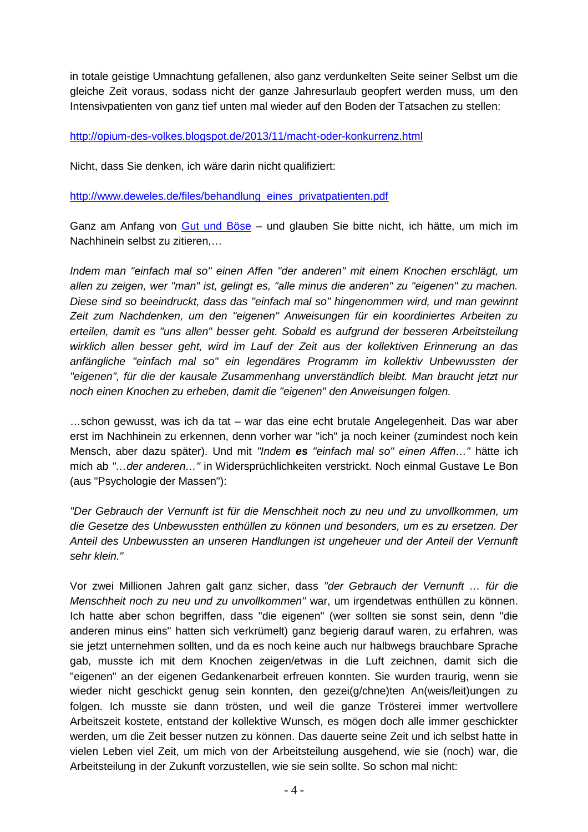in totale geistige Umnachtung gefallenen, also ganz verdunkelten Seite seiner Selbst um die gleiche Zeit voraus, sodass nicht der ganze Jahresurlaub geopfert werden muss, um den Intensivpatienten von ganz tief unten mal wieder auf den Boden der Tatsachen zu stellen:

## <http://opium-des-volkes.blogspot.de/2013/11/macht-oder-konkurrenz.html>

Nicht, dass Sie denken, ich wäre darin nicht qualifiziert:

[http://www.deweles.de/files/behandlung\\_eines\\_privatpatienten.pdf](http://www.deweles.de/files/behandlung_eines_privatpatienten.pdf)

Ganz am Anfang von [Gut und Böse](http://opium-des-volkes.blogspot.de/2014/11/gut-und-boese.html) - und glauben Sie bitte nicht, ich hätte, um mich im Nachhinein selbst zu zitieren,…

*Indem man "einfach mal so" einen Affen "der anderen" mit einem Knochen erschlägt, um allen zu zeigen, wer "man" ist, gelingt es, "alle minus die anderen" zu "eigenen" zu machen. Diese sind so beeindruckt, dass das "einfach mal so" hingenommen wird, und man gewinnt Zeit zum Nachdenken, um den "eigenen" Anweisungen für ein koordiniertes Arbeiten zu erteilen, damit es "uns allen" besser geht. Sobald es aufgrund der besseren Arbeitsteilung wirklich allen besser geht, wird im Lauf der Zeit aus der kollektiven Erinnerung an das anfängliche "einfach mal so" ein legendäres Programm im kollektiv Unbewussten der "eigenen", für die der kausale Zusammenhang unverständlich bleibt. Man braucht jetzt nur noch einen Knochen zu erheben, damit die "eigenen" den Anweisungen folgen.*

…schon gewusst, was ich da tat – war das eine echt brutale Angelegenheit. Das war aber erst im Nachhinein zu erkennen, denn vorher war "ich" ja noch keiner (zumindest noch kein Mensch, aber dazu später). Und mit *"Indem es "einfach mal so" einen Affen…"* hätte ich mich ab *"…der anderen…"* in Widersprüchlichkeiten verstrickt. Noch einmal Gustave Le Bon (aus "Psychologie der Massen"):

*"Der Gebrauch der Vernunft ist für die Menschheit noch zu neu und zu unvollkommen, um die Gesetze des Unbewussten enthüllen zu können und besonders, um es zu ersetzen. Der Anteil des Unbewussten an unseren Handlungen ist ungeheuer und der Anteil der Vernunft sehr klein."*

Vor zwei Millionen Jahren galt ganz sicher, dass *"der Gebrauch der Vernunft … für die Menschheit noch zu neu und zu unvollkommen"* war, um irgendetwas enthüllen zu können. Ich hatte aber schon begriffen, dass "die eigenen" (wer sollten sie sonst sein, denn "die anderen minus eins" hatten sich verkrümelt) ganz begierig darauf waren, zu erfahren, was sie jetzt unternehmen sollten, und da es noch keine auch nur halbwegs brauchbare Sprache gab, musste ich mit dem Knochen zeigen/etwas in die Luft zeichnen, damit sich die "eigenen" an der eigenen Gedankenarbeit erfreuen konnten. Sie wurden traurig, wenn sie wieder nicht geschickt genug sein konnten, den gezei(g/chne)ten An(weis/leit)ungen zu folgen. Ich musste sie dann trösten, und weil die ganze Trösterei immer wertvollere Arbeitszeit kostete, entstand der kollektive Wunsch, es mögen doch alle immer geschickter werden, um die Zeit besser nutzen zu können. Das dauerte seine Zeit und ich selbst hatte in vielen Leben viel Zeit, um mich von der Arbeitsteilung ausgehend, wie sie (noch) war, die Arbeitsteilung in der Zukunft vorzustellen, wie sie sein sollte. So schon mal nicht: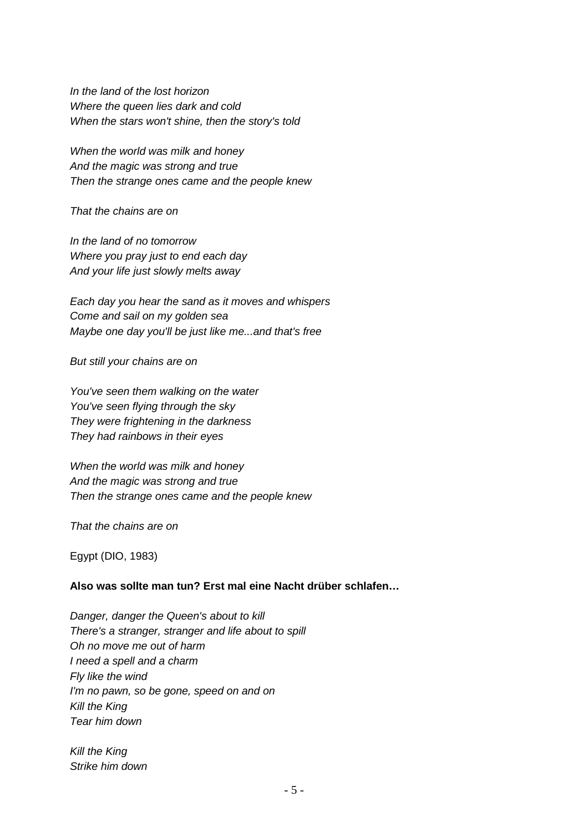*In the land of the lost horizon Where the queen lies dark and cold When the stars won't shine, then the story's told*

*When the world was milk and honey And the magic was strong and true Then the strange ones came and the people knew*

*That the chains are on*

*In the land of no tomorrow Where you pray just to end each day And your life just slowly melts away*

*Each day you hear the sand as it moves and whispers Come and sail on my golden sea Maybe one day you'll be just like me...and that's free*

*But still your chains are on*

*You've seen them walking on the water You've seen flying through the sky They were frightening in the darkness They had rainbows in their eyes*

*When the world was milk and honey And the magic was strong and true Then the strange ones came and the people knew*

*That the chains are on*

Egypt (DIO, 1983)

## **Also was sollte man tun? Erst mal eine Nacht drüber schlafen…**

*Danger, danger the Queen's about to kill There's a stranger, stranger and life about to spill Oh no move me out of harm I need a spell and a charm Fly like the wind I'm no pawn, so be gone, speed on and on Kill the King Tear him down*

*Kill the King Strike him down*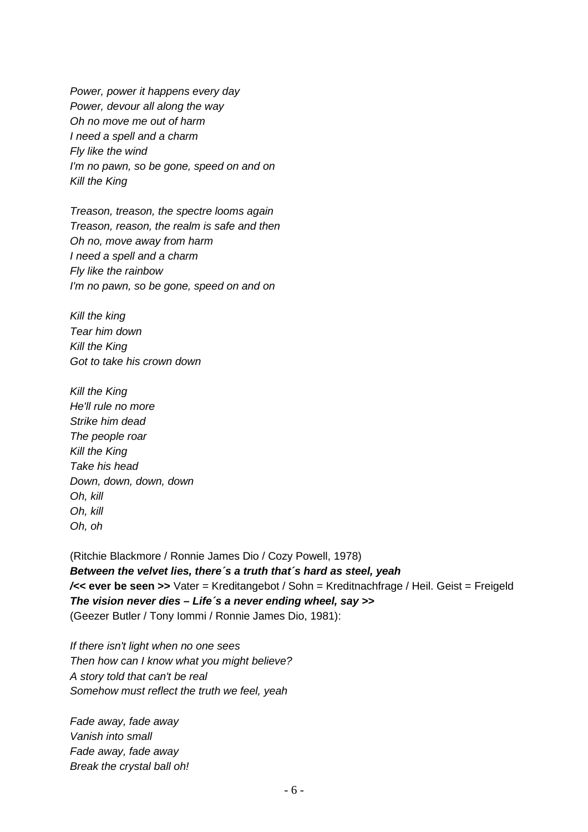*Power, power it happens every day Power, devour all along the way Oh no move me out of harm I need a spell and a charm Fly like the wind I'm no pawn, so be gone, speed on and on Kill the King*

*Treason, treason, the spectre looms again Treason, reason, the realm is safe and then Oh no, move away from harm I need a spell and a charm Fly like the rainbow I'm no pawn, so be gone, speed on and on*

*Kill the king Tear him down Kill the King Got to take his crown down*

*Kill the King He'll rule no more Strike him dead The people roar Kill the King Take his head Down, down, down, down Oh, kill Oh, kill Oh, oh*

(Ritchie Blackmore / Ronnie James Dio / Cozy Powell, 1978) *Between the velvet lies, there´s a truth that´s hard as steel, yeah /<<* **ever be seen >>** Vater = Kreditangebot / Sohn = Kreditnachfrage / Heil. Geist = Freigeld *The vision never dies – Life´s a never ending wheel, say >>* (Geezer Butler / Tony Iommi / Ronnie James Dio, 1981):

*If there isn't light when no one sees Then how can I know what you might believe? A story told that can't be real Somehow must reflect the truth we feel, yeah*

*Fade away, fade away Vanish into small Fade away, fade away Break the crystal ball oh!*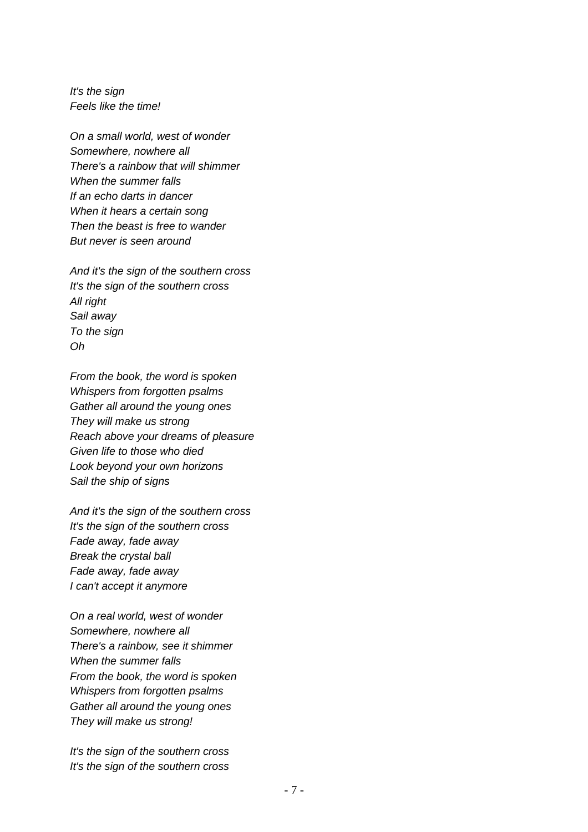*It's the sign Feels like the time!*

*On a small world, west of wonder Somewhere, nowhere all There's a rainbow that will shimmer When the summer falls If an echo darts in dancer When it hears a certain song Then the beast is free to wander But never is seen around*

*And it's the sign of the southern cross It's the sign of the southern cross All right Sail away To the sign Oh*

*From the book, the word is spoken Whispers from forgotten psalms Gather all around the young ones They will make us strong Reach above your dreams of pleasure Given life to those who died Look beyond your own horizons Sail the ship of signs*

*And it's the sign of the southern cross It's the sign of the southern cross Fade away, fade away Break the crystal ball Fade away, fade away I can't accept it anymore*

*On a real world, west of wonder Somewhere, nowhere all There's a rainbow, see it shimmer When the summer falls From the book, the word is spoken Whispers from forgotten psalms Gather all around the young ones They will make us strong!*

*It's the sign of the southern cross It's the sign of the southern cross*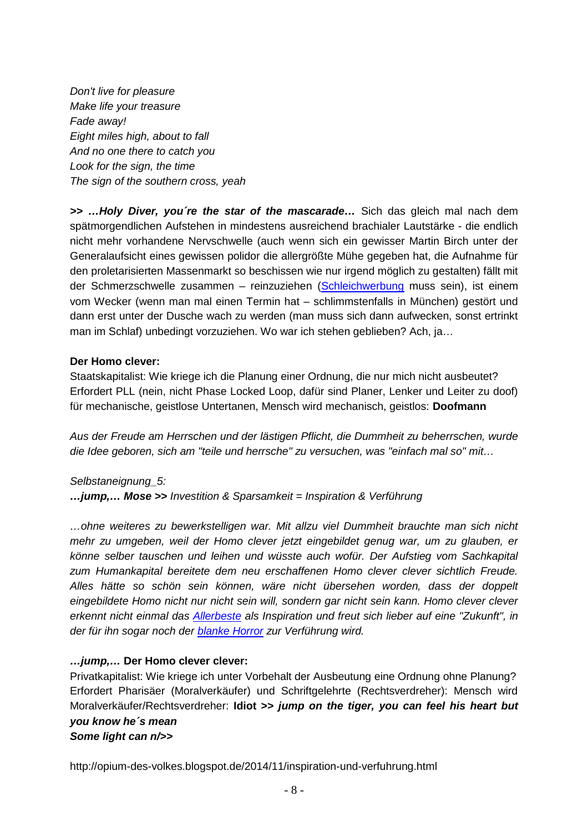*Don't live for pleasure Make life your treasure Fade away! Eight miles high, about to fall And no one there to catch you Look for the sign, the time The sign of the southern cross, yeah*

*>> …Holy Diver, you´re the star of the mascarade…* Sich das gleich mal nach dem spätmorgendlichen Aufstehen in mindestens ausreichend brachialer Lautstärke - die endlich nicht mehr vorhandene Nervschwelle (auch wenn sich ein gewisser Martin Birch unter der Generalaufsicht eines gewissen polidor die allergrößte Mühe gegeben hat, die Aufnahme für den proletarisierten Massenmarkt so beschissen wie nur irgend möglich zu gestalten) fällt mit der Schmerzschwelle zusammen – reinzuziehen([Schleichwerbung](http://www.audio-optimum.com/#!sonus-fidelis-3/) muss sein), ist einem vom Wecker (wenn man mal einen Termin hat – schlimmstenfalls in München) gestört und dann erst unter der Dusche wach zu werden (man muss sich dann aufwecken, sonst ertrinkt man im Schlaf) unbedingt vorzuziehen. Wo war ich stehen geblieben? Ach, ja…

## **Der Homo clever:**

Staatskapitalist: Wie kriege ich die Planung einer Ordnung, die nur mich nicht ausbeutet? Erfordert PLL (nein, nicht Phase Locked Loop, dafür sind Planer, Lenker und Leiter zu doof) für mechanische, geistlose Untertanen, Mensch wird mechanisch, geistlos: **Doofmann**

*Aus der Freude am Herrschen und der lästigen Pflicht, die Dummheit zu beherrschen, wurde die Idee geboren, sich am "teile und herrsche" zu versuchen, was "einfach mal so" mit…*

#### *Selbstaneignung\_5:*

*…jump,… Mose >> Investition & Sparsamkeit = Inspiration & Verführung*

*…ohne weiteres zu bewerkstelligen war. Mit allzu viel Dummheit brauchte man sich nicht mehr zu umgeben, weil der Homo clever jetzt eingebildet genug war, um zu glauben, er könne selber tauschen und leihen und wüsste auch wofür. Der Aufstieg vom Sachkapital zum Humankapital bereitete dem neu erschaffenen Homo clever clever sichtlich Freude. Alles hätte so schön sein können, wäre nicht übersehen worden, dass der doppelt eingebildete Homo nicht nur nicht sein will, sondern gar nicht sein kann. Homo clever clever erkennt nicht einmal das [Allerbeste](http://www.youtube.com/watch?v=peg5TKuvr8I) als Inspiration und freut sich lieber auf eine "Zukunft", in der für ihn sogar noch der [blanke Horror](http://www.musikantenstadl.tv/stadl/) zur Verführung wird.*

## *…jump,…* **Der Homo clever clever:**

Privatkapitalist: Wie kriege ich unter Vorbehalt der Ausbeutung eine Ordnung ohne Planung? Erfordert Pharisäer (Moralverkäufer) und Schriftgelehrte (Rechtsverdreher): Mensch wird Moralverkäufer/Rechtsverdreher: **Idiot >>** *jump on the tiger, you can feel his heart but you know he´s mean Some light can n/>>*

http://opium-des-volkes.blogspot.de/2014/11/inspiration-und-verfuhrung.html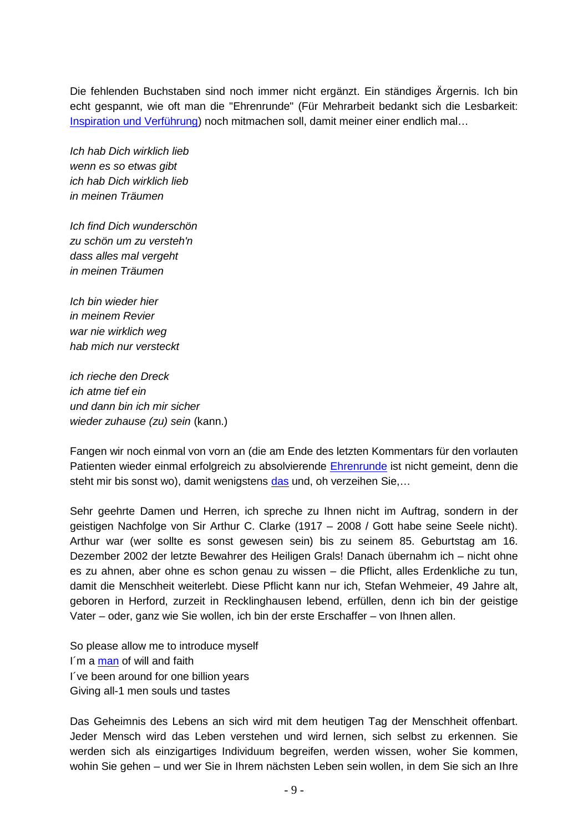Die fehlenden Buchstaben sind noch immer nicht ergänzt. Ein ständiges Ärgernis. Ich bin echt gespannt, wie oft man die "Ehrenrunde" (Für Mehrarbeit bedankt sich die Lesbarkeit: [Inspiration und Verführung](http://opium-des-volkes.blogspot.de/2014/11/inspiration-und-verfuhrung.html)) noch mitmachen soll, damit meiner einer endlich mal…

*Ich hab Dich wirklich lieb wenn es so etwas gibt ich hab Dich wirklich lieb in meinen Träumen*

*Ich find Dich wunderschön zu schön um zu versteh'n dass alles mal vergeht in meinen Träumen*

*Ich bin wieder hier in meinem Revier war nie wirklich weg hab mich nur versteckt*

*ich rieche den Dreck ich atme tief ein und dann bin ich mir sicher wieder zuhause (zu) sein* (kann.)

Fangen wir noch einmal von vorn an (die am Ende des letzten Kommentars für den vorlauten Patienten wieder einmal erfolgreich zu absolvierende [Ehrenrunde](http://opium-des-volkes.blogspot.de/2014/11/meinung-und-wissen.html) ist nicht gemeint, denn die steht mir bis sonst wo), damit wenigstens [das](http://opium-des-volkes.blogspot.de/2014/10/eigennutz-und-gemeinnutz.html) und, oh verzeihen Sie....

Sehr geehrte Damen und Herren, ich spreche zu Ihnen nicht im Auftrag, sondern in der geistigen Nachfolge von Sir Arthur C. Clarke (1917 – 2008 / Gott habe seine Seele nicht). Arthur war (wer sollte es sonst gewesen sein) bis zu seinem 85. Geburtstag am 16. Dezember 2002 der letzte Bewahrer des Heiligen Grals! Danach übernahm ich – nicht ohne es zu ahnen, aber ohne es schon genau zu wissen – die Pflicht, alles Erdenkliche zu tun, damit die Menschheit weiterlebt. Diese Pflicht kann nur ich, Stefan Wehmeier, 49 Jahre alt, geboren in Herford, zurzeit in Recklinghausen lebend, erfüllen, denn ich bin der geistige Vater – oder, ganz wie Sie wollen, ich bin der erste Erschaffer – von Ihnen allen.

So please allow me to introduce myself I'm a [man](https://www.youtube.com/watch?v=jzR4HI8AosM) of will and faith I´ve been around for one billion years Giving all-1 men souls und tastes

Das Geheimnis des Lebens an sich wird mit dem heutigen Tag der Menschheit offenbart. Jeder Mensch wird das Leben verstehen und wird lernen, sich selbst zu erkennen. Sie werden sich als einzigartiges Individuum begreifen, werden wissen, woher Sie kommen, wohin Sie gehen – und wer Sie in Ihrem nächsten Leben sein wollen, in dem Sie sich an Ihre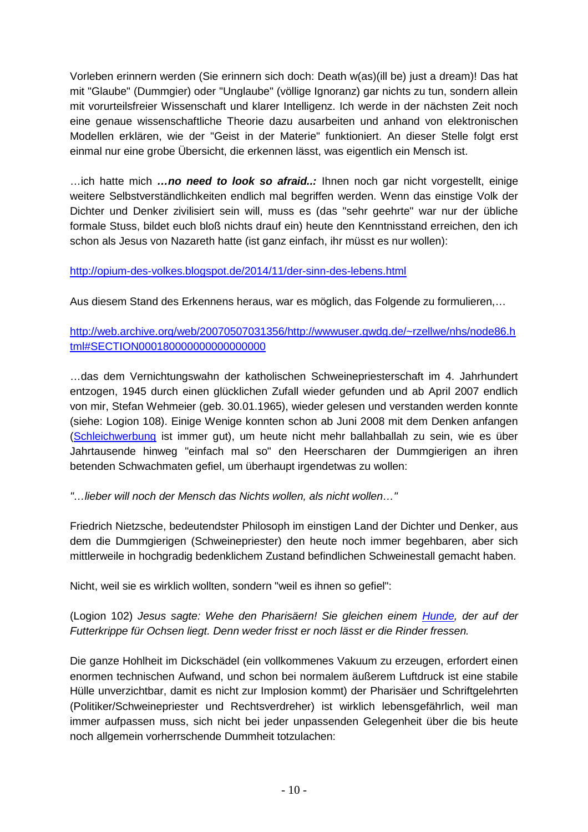Vorleben erinnern werden (Sie erinnern sich doch: Death w(as)(ill be) just a dream)! Das hat mit "Glaube" (Dummgier) oder "Unglaube" (völlige Ignoranz) gar nichts zu tun, sondern allein mit vorurteilsfreier Wissenschaft und klarer Intelligenz. Ich werde in der nächsten Zeit noch eine genaue wissenschaftliche Theorie dazu ausarbeiten und anhand von elektronischen Modellen erklären, wie der "Geist in der Materie" funktioniert. An dieser Stelle folgt erst einmal nur eine grobe Übersicht, die erkennen lässt, was eigentlich ein Mensch ist.

…ich hatte mich *…no need to look so afraid..:* Ihnen noch gar nicht vorgestellt, einige weitere Selbstverständlichkeiten endlich mal begriffen werden. Wenn das einstige Volk der Dichter und Denker zivilisiert sein will, muss es (das "sehr geehrte" war nur der übliche formale Stuss, bildet euch bloß nichts drauf ein) heute den Kenntnisstand erreichen, den ich schon als Jesus von Nazareth hatte (ist ganz einfach, ihr müsst es nur wollen):

## <http://opium-des-volkes.blogspot.de/2014/11/der-sinn-des-lebens.html>

Aus diesem Stand des Erkennens heraus, war es möglich, das Folgende zu formulieren,…

[http://web.archive.org/web/20070507031356/http://wwwuser.gwdg.de/~rzellwe/nhs/node86.h](http://web.archive.org/web/20070507031356/http://wwwuser.gwdg.de/~rzellwe/nhs/node86.html#SECTION000180000000000000000) [tml#SECTION000180000000000000000](http://web.archive.org/web/20070507031356/http://wwwuser.gwdg.de/~rzellwe/nhs/node86.html#SECTION000180000000000000000)

…das dem Vernichtungswahn der katholischen Schweinepriesterschaft im 4. Jahrhundert entzogen, 1945 durch einen glücklichen Zufall wieder gefunden und ab April 2007 endlich von mir, Stefan Wehmeier (geb. 30.01.1965), wieder gelesen und verstanden werden konnte (siehe: Logion 108). Einige Wenige konnten schon ab Juni 2008 mit dem Denken anfangen ([Schleichwerbung](http://www.deweles.de/globalisierung/himmel-auf-erden.html) ist immer gut), um heute nicht mehr ballahballah zu sein, wie es über Jahrtausende hinweg "einfach mal so" den Heerscharen der Dummgierigen an ihren betenden Schwachmaten gefiel, um überhaupt irgendetwas zu wollen:

*"…lieber will noch der Mensch das Nichts wollen, als nicht wollen…"*

Friedrich Nietzsche, bedeutendster Philosoph im einstigen Land der Dichter und Denker, aus dem die Dummgierigen (Schweinepriester) den heute noch immer begehbaren, aber sich mittlerweile in hochgradig bedenklichem Zustand befindlichen Schweinestall gemacht haben.

Nicht, weil sie es wirklich wollten, sondern "weil es ihnen so gefiel":

(Logion 102) *Jesus sagte: Wehe den Pharisäern! Sie gleichen einem [Hunde,](https://www.youtube.com/watch?v=gsYNaUqo4cg) der auf der Futterkrippe für Ochsen liegt. Denn weder frisst er noch lässt er die Rinder fressen.*

Die ganze Hohlheit im Dickschädel (ein vollkommenes Vakuum zu erzeugen, erfordert einen enormen technischen Aufwand, und schon bei normalem äußerem Luftdruck ist eine stabile Hülle unverzichtbar, damit es nicht zur Implosion kommt) der Pharisäer und Schriftgelehrten (Politiker/Schweinepriester und Rechtsverdreher) ist wirklich lebensgefährlich, weil man immer aufpassen muss, sich nicht bei jeder unpassenden Gelegenheit über die bis heute noch allgemein vorherrschende Dummheit totzulachen: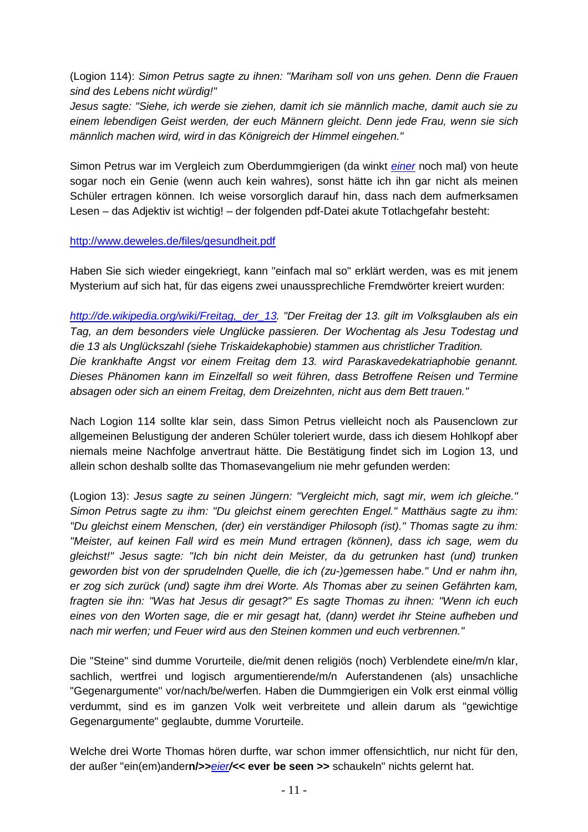(Logion 114): *Simon Petrus sagte zu ihnen: "Mariham soll von uns gehen. Denn die Frauen sind des Lebens nicht würdig!"*

*Jesus sagte: "Siehe, ich werde sie ziehen, damit ich sie männlich mache, damit auch sie zu einem lebendigen Geist werden, der euch Männern gleicht. Denn jede Frau, wenn sie sich männlich machen wird, wird in das Königreich der Himmel eingehen."*

Simon Petrus war im Vergleich zum Oberdummgierigen (da winkt *[einer](http://de.wikipedia.org/wiki/Franziskus_(Papst))* noch mal) von heute sogar noch ein Genie (wenn auch kein wahres), sonst hätte ich ihn gar nicht als meinen Schüler ertragen können. Ich weise vorsorglich darauf hin, dass nach dem aufmerksamen Lesen – das Adjektiv ist wichtig! – der folgenden pdf-Datei akute Totlachgefahr besteht:

## <http://www.deweles.de/files/gesundheit.pdf>

Haben Sie sich wieder eingekriegt, kann "einfach mal so" erklärt werden, was es mit jenem Mysterium auf sich hat, für das eigens zwei unaussprechliche Fremdwörter kreiert wurden:

*[http://de.wikipedia.org/wiki/Freitag,\\_der\\_13.](http://de.wikipedia.org/wiki/Freitag,_der_13) "Der Freitag der 13. gilt im Volksglauben als ein Tag, an dem besonders viele Unglücke passieren. Der Wochentag als Jesu Todestag und die 13 als Unglückszahl (siehe Triskaidekaphobie) stammen aus christlicher Tradition. Die krankhafte Angst vor einem Freitag dem 13. wird Paraskavedekatriaphobie genannt. Dieses Phänomen kann im Einzelfall so weit führen, dass Betroffene Reisen und Termine absagen oder sich an einem Freitag, dem Dreizehnten, nicht aus dem Bett trauen."*

Nach Logion 114 sollte klar sein, dass Simon Petrus vielleicht noch als Pausenclown zur allgemeinen Belustigung der anderen Schüler toleriert wurde, dass ich diesem Hohlkopf aber niemals meine Nachfolge anvertraut hätte. Die Bestätigung findet sich im Logion 13, und allein schon deshalb sollte das Thomasevangelium nie mehr gefunden werden:

(Logion 13): *Jesus sagte zu seinen Jüngern: "Vergleicht mich, sagt mir, wem ich gleiche." Simon Petrus sagte zu ihm: "Du gleichst einem gerechten Engel." Matthäus sagte zu ihm: "Du gleichst einem Menschen, (der) ein verständiger Philosoph (ist)." Thomas sagte zu ihm: "Meister, auf keinen Fall wird es mein Mund ertragen (können), dass ich sage, wem du gleichst!" Jesus sagte: "Ich bin nicht dein Meister, da du getrunken hast (und) trunken geworden bist von der sprudelnden Quelle, die ich (zu-)gemessen habe." Und er nahm ihn, er zog sich zurück (und) sagte ihm drei Worte. Als Thomas aber zu seinen Gefährten kam, fragten sie ihn: "Was hat Jesus dir gesagt?" Es sagte Thomas zu ihnen: "Wenn ich euch eines von den Worten sage, die er mir gesagt hat, (dann) werdet ihr Steine aufheben und nach mir werfen; und Feuer wird aus den Steinen kommen und euch verbrennen."*

Die "Steine" sind dumme Vorurteile, die/mit denen religiös (noch) Verblendete eine/m/n klar, sachlich, wertfrei und logisch argumentierende/m/n Auferstandenen (als) unsachliche "Gegenargumente" vor/nach/be/werfen. Haben die Dummgierigen ein Volk erst einmal völlig verdummt, sind es im ganzen Volk weit verbreitete und allein darum als "gewichtige Gegenargumente" geglaubte, dumme Vorurteile.

Welche drei Worte Thomas hören durfte, war schon immer offensichtlich, nur nicht für den, der außer "ein(em)ander**n/>>***[eier](http://de.wikipedia.org/wiki/Franziskus_(Papst))/<<* **ever be seen >>** schaukeln" nichts gelernt hat.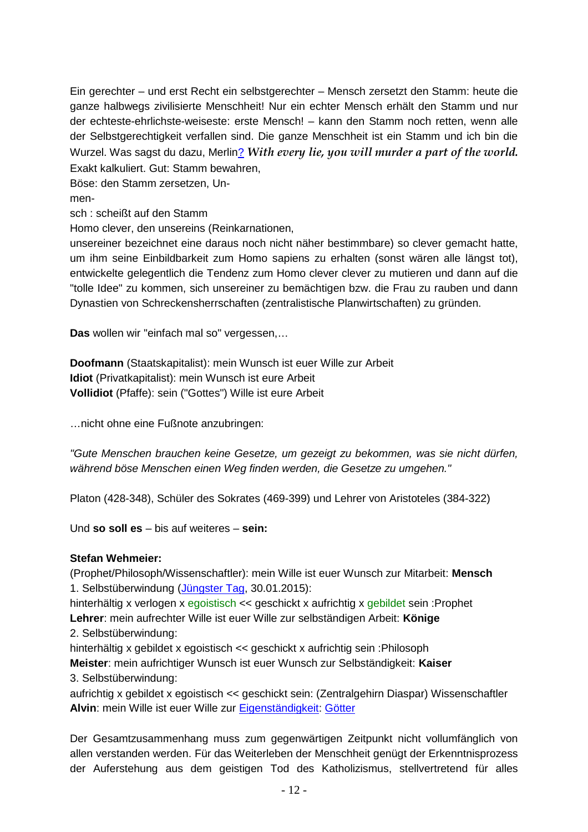Ein gerechter – und erst Recht ein selbstgerechter – Mensch zersetzt den Stamm: heute die ganze halbwegs zivilisierte Menschheit! Nur ein echter Mensch erhält den Stamm und nur der echteste-ehrlichste-weiseste: erste Mensch! – kann den Stamm noch retten, wenn alle der Selbstgerechtigkeit verfallen sind. Die ganze Menschheit ist ein Stamm und ich bin die Wurzel. Was sagst du dazu, Merlin[?](http://www.deweles.de/willkommen/wahrheit.html) *With every lie, you will murder a part of the world.* Exakt kalkuliert. Gut: Stamm bewahren,

Böse: den Stamm zersetzen, Un-

men-

sch : scheißt auf den Stamm

Homo clever, den unsereins (Reinkarnationen,

unsereiner bezeichnet eine daraus noch nicht näher bestimmbare) so clever gemacht hatte, um ihm seine Einbildbarkeit zum Homo sapiens zu erhalten (sonst wären alle längst tot), entwickelte gelegentlich die Tendenz zum Homo clever clever zu mutieren und dann auf die "tolle Idee" zu kommen, sich unsereiner zu bemächtigen bzw. die Frau zu rauben und dann Dynastien von Schreckensherrschaften (zentralistische Planwirtschaften) zu gründen.

**Das** wollen wir "einfach mal so" vergessen,…

**Doofmann** (Staatskapitalist): mein Wunsch ist euer Wille zur Arbeit **Idiot** (Privatkapitalist): mein Wunsch ist eure Arbeit **Vollidiot** (Pfaffe): sein ("Gottes") Wille ist eure Arbeit

…nicht ohne eine Fußnote anzubringen:

*"Gute Menschen brauchen keine Gesetze, um gezeigt zu bekommen, was sie nicht dürfen, während böse Menschen einen Weg finden werden, die Gesetze zu umgehen."*

Platon (428-348), Schüler des Sokrates (469-399) und Lehrer von Aristoteles (384-322)

Und **so soll es** – bis auf weiteres – **sein:**

## **Stefan Wehmeier:**

(Prophet/Philosoph/Wissenschaftler): mein Wille ist euer Wunsch zur Mitarbeit: **Mensch** 1. Selbstüberwindung [\(Jüngster Tag,](http://opium-des-volkes.blogspot.de/2014/09/der-jungste-tag.html) 30.01.2015):

hinterhältig x verlogen x egoistisch << geschickt x aufrichtig x gebildet sein :Prophet **Lehrer**: mein aufrechter Wille ist euer Wille zur selbständigen Arbeit: **Könige**

2. Selbstüberwindung:

hinterhältig x gebildet x egoistisch << geschickt x aufrichtig sein :Philosoph

**Meister**: mein aufrichtiger Wunsch ist euer Wunsch zur Selbständigkeit: **Kaiser**

3. Selbstüberwindung:

aufrichtig x gebildet x egoistisch << geschickt sein: (Zentralgehirn Diaspar) Wissenschaftler **Alvin**: mein Wille ist euer Wille zur [Eigenständigkeit:](http://www.deweles.de/globalisierung/letzte-worte.html) [Götter](http://www.deweles.de/)

Der Gesamtzusammenhang muss zum gegenwärtigen Zeitpunkt nicht vollumfänglich von allen verstanden werden. Für das Weiterleben der Menschheit genügt der Erkenntnisprozess der Auferstehung aus dem geistigen Tod des Katholizismus, stellvertretend für alles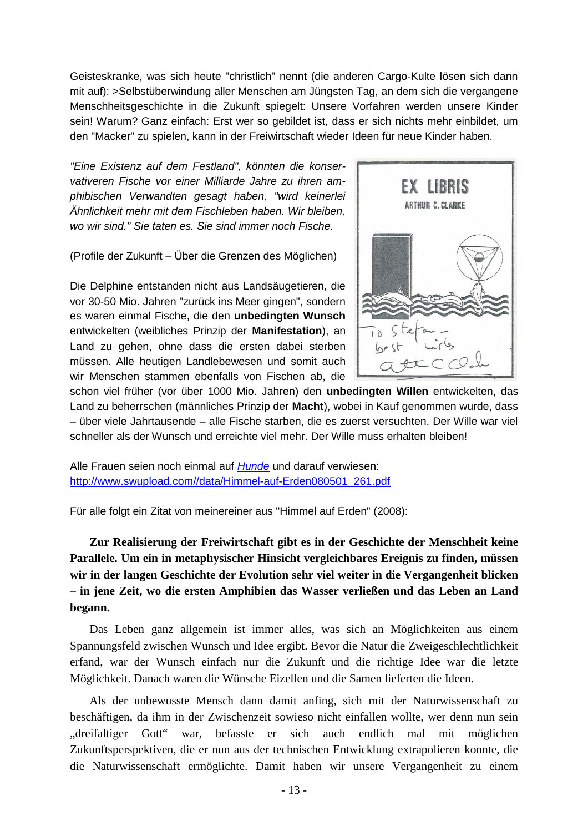Geisteskranke, was sich heute "christlich" nennt (die anderen Cargo-Kulte lösen sich dann mit auf): >Selbstüberwindung aller Menschen am Jüngsten Tag, an dem sich die vergangene Menschheitsgeschichte in die Zukunft spiegelt: Unsere Vorfahren werden unsere Kinder sein! Warum? Ganz einfach: Erst wer so gebildet ist, dass er sich nichts mehr einbildet, um den "Macker" zu spielen, kann in der Freiwirtschaft wieder Ideen für neue Kinder haben.

*"Eine Existenz auf dem Festland", könnten die konservativeren Fische vor einer Milliarde Jahre zu ihren amphibischen Verwandten gesagt haben, "wird keinerlei Ähnlichkeit mehr mit dem Fischleben haben. Wir bleiben, wo wir sind." Sie taten es. Sie sind immer noch Fische.*

(Profile der Zukunft – Über die Grenzen des Möglichen)

Die Delphine entstanden nicht aus Landsäugetieren, die vor 30-50 Mio. Jahren "zurück ins Meer gingen", sondern es waren einmal Fische, die den **unbedingten Wunsch** entwickelten (weibliches Prinzip der **Manifestation**), an Land zu gehen, ohne dass die ersten dabei sterben müssen. Alle heutigen Landlebewesen und somit auch wir Menschen stammen ebenfalls von Fischen ab, die



schon viel früher (vor über 1000 Mio. Jahren) den **unbedingten Willen** entwickelten, das Land zu beherrschen (männliches Prinzip der **Macht**), wobei in Kauf genommen wurde, dass – über viele Jahrtausende – alle Fische starben, die es zuerst versuchten. Der Wille war viel schneller als der Wunsch und erreichte viel mehr. Der Wille muss erhalten bleiben!

Alle Frauen seien noch einmal auf *[Hunde](https://www.youtube.com/watch?v=gsYNaUqo4cg)* und darauf verwiesen: [http://www.swupload.com//data/Himmel-auf-Erden080501\\_261.pdf](http://www.swupload.com//data/Himmel-auf-Erden080501_261.pdf)

Für alle folgt ein Zitat von meinereiner aus "Himmel auf Erden" (2008):

**Zur Realisierung der Freiwirtschaft gibt es in der Geschichte der Menschheit keine Parallele. Um ein in metaphysischer Hinsicht vergleichbares Ereignis zu finden, müssen wir in der langen Geschichte der Evolution sehr viel weiter in die Vergangenheit blicken – in jene Zeit, wo die ersten Amphibien das Wasser verließen und das Leben an Land begann.**

Das Leben ganz allgemein ist immer alles, was sich an Möglichkeiten aus einem Spannungsfeld zwischen Wunsch und Idee ergibt. Bevor die Natur die Zweigeschlechtlichkeit erfand, war der Wunsch einfach nur die Zukunft und die richtige Idee war die letzte Möglichkeit. Danach waren die Wünsche Eizellen und die Samen lieferten die Ideen.

Als der unbewusste Mensch dann damit anfing, sich mit der Naturwissenschaft zu beschäftigen, da ihm in der Zwischenzeit sowieso nicht einfallen wollte, wer denn nun sein "dreifaltiger Gott" war, befasste er sich auch endlich mal mit möglichen Zukunftsperspektiven, die er nun aus der technischen Entwicklung extrapolieren konnte, die die Naturwissenschaft ermöglichte. Damit haben wir unsere Vergangenheit zu einem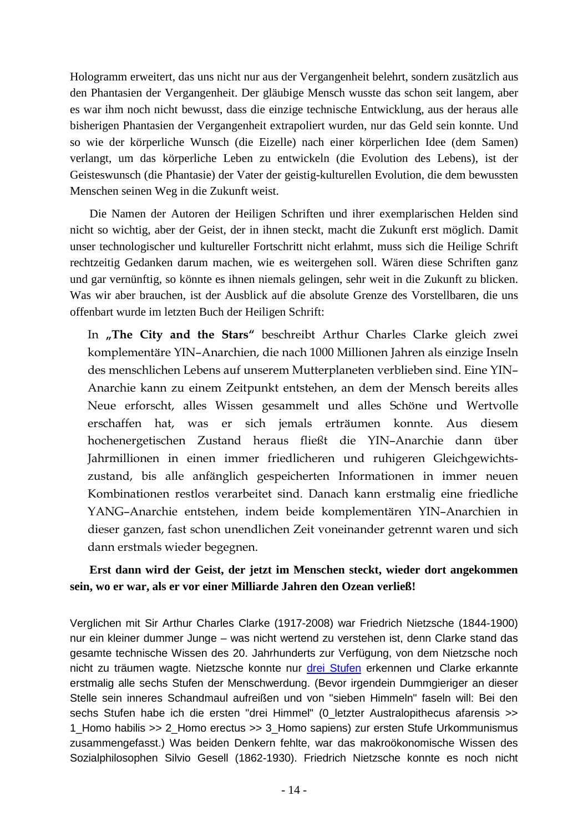Hologramm erweitert, das uns nicht nur aus der Vergangenheit belehrt, sondern zusätzlich aus den Phantasien der Vergangenheit. Der gläubige Mensch wusste das schon seit langem, aber es war ihm noch nicht bewusst, dass die einzige technische Entwicklung, aus der heraus alle bisherigen Phantasien der Vergangenheit extrapoliert wurden, nur das Geld sein konnte. Und so wie der körperliche Wunsch (die Eizelle) nach einer körperlichen Idee (dem Samen) verlangt, um das körperliche Leben zu entwickeln (die Evolution des Lebens), ist der Geisteswunsch (die Phantasie) der Vater der geistig-kulturellen Evolution, die dem bewussten Menschen seinen Weg in die Zukunft weist.

Die Namen der Autoren der Heiligen Schriften und ihrer exemplarischen Helden sind nicht so wichtig, aber der Geist, der in ihnen steckt, macht die Zukunft erst möglich. Damit unser technologischer und kultureller Fortschritt nicht erlahmt, muss sich die Heilige Schrift rechtzeitig Gedanken darum machen, wie es weitergehen soll. Wären diese Schriften ganz und gar vernünftig, so könnte es ihnen niemals gelingen, sehr weit in die Zukunft zu blicken. Was wir aber brauchen, ist der Ausblick auf die absolute Grenze des Vorstellbaren, die uns offenbart wurde im letzten Buch der Heiligen Schrift:

In **"The City and the Stars"** beschreibt Arthur Charles Clarke gleich zwei komplementäre YIN–Anarchien, die nach 1000 Millionen Jahren als einzige Inseln des menschlichen Lebens auf unserem Mutterplaneten verblieben sind. Eine YIN– Anarchie kann zu einem Zeitpunkt entstehen, an dem der Mensch bereits alles Neue erforscht, alles Wissen gesammelt und alles Schöne und Wertvolle erschaffen hat, was er sich jemals erträumen konnte. Aus diesem hochenergetischen Zustand heraus fließt die YIN–Anarchie dann über Jahrmillionen in einen immer friedlicheren und ruhigeren Gleichgewichtszustand, bis alle anfänglich gespeicherten Informationen in immer neuen Kombinationen restlos verarbeitet sind. Danach kann erstmalig eine friedliche YANG–Anarchie entstehen, indem beide komplementären YIN–Anarchien in dieser ganzen, fast schon unendlichen Zeit voneinander getrennt waren und sich dann erstmals wieder begegnen.

## **Erst dann wird der Geist, der jetzt im Menschen steckt, wieder dort angekommen sein, wo er war, als er vor einer Milliarde Jahren den Ozean verließ!**

Verglichen mit Sir Arthur Charles Clarke (1917-2008) war Friedrich Nietzsche (1844-1900) nur ein kleiner dummer Junge – was nicht wertend zu verstehen ist, denn Clarke stand das gesamte technische Wissen des 20. Jahrhunderts zur Verfügung, von dem Nietzsche noch nicht zu träumen wagte. Nietzsche konnte nur [drei Stufen](http://opium-des-volkes.blogspot.de/2012/09/von-den-drei-verwandlungen.html) erkennen und Clarke erkannte erstmalig alle sechs Stufen der Menschwerdung. (Bevor irgendein Dummgieriger an dieser Stelle sein inneres Schandmaul aufreißen und von "sieben Himmeln" faseln will: Bei den sechs Stufen habe ich die ersten "drei Himmel" (0 letzter Australopithecus afarensis >> 1\_Homo habilis >> 2\_Homo erectus >> 3\_Homo sapiens) zur ersten Stufe Urkommunismus zusammengefasst.) Was beiden Denkern fehlte, war das makroökonomische Wissen des Sozialphilosophen Silvio Gesell (1862-1930). Friedrich Nietzsche konnte es noch nicht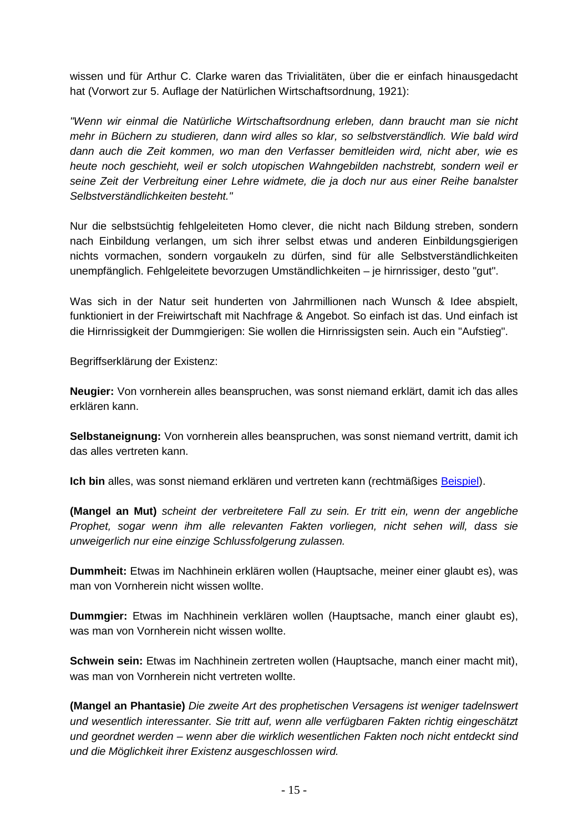wissen und für Arthur C. Clarke waren das Trivialitäten, über die er einfach hinausgedacht hat (Vorwort zur 5. Auflage der Natürlichen Wirtschaftsordnung, 1921):

*"Wenn wir einmal die Natürliche Wirtschaftsordnung erleben, dann braucht man sie nicht mehr in Büchern zu studieren, dann wird alles so klar, so selbstverständlich. Wie bald wird dann auch die Zeit kommen, wo man den Verfasser bemitleiden wird, nicht aber, wie es heute noch geschieht, weil er solch utopischen Wahngebilden nachstrebt, sondern weil er seine Zeit der Verbreitung einer Lehre widmete, die ja doch nur aus einer Reihe banalster Selbstverständlichkeiten besteht."*

Nur die selbstsüchtig fehlgeleiteten Homo clever, die nicht nach Bildung streben, sondern nach Einbildung verlangen, um sich ihrer selbst etwas und anderen Einbildungsgierigen nichts vormachen, sondern vorgaukeln zu dürfen, sind für alle Selbstverständlichkeiten unempfänglich. Fehlgeleitete bevorzugen Umständlichkeiten – je hirnrissiger, desto "gut".

Was sich in der Natur seit hunderten von Jahrmillionen nach Wunsch & Idee abspielt, funktioniert in der Freiwirtschaft mit Nachfrage & Angebot. So einfach ist das. Und einfach ist die Hirnrissigkeit der Dummgierigen: Sie wollen die Hirnrissigsten sein. Auch ein "Aufstieg".

Begriffserklärung der Existenz:

**Neugier:** Von vornherein alles beanspruchen, was sonst niemand erklärt, damit ich das alles erklären kann.

**Selbstaneignung:** Von vornherein alles beanspruchen, was sonst niemand vertritt, damit ich das alles vertreten kann.

**Ich bin** alles, was sonst niemand erklären und vertreten kann (rechtmäßiges [Beispiel\)](http://www.audio-optimum.com/#!sinus-cosinus-modulator/).

**(Mangel an Mut)** *scheint der verbreitetere Fall zu sein. Er tritt ein, wenn der angebliche Prophet, sogar wenn ihm alle relevanten Fakten vorliegen, nicht sehen will, dass sie unweigerlich nur eine einzige Schlussfolgerung zulassen.*

**Dummheit:** Etwas im Nachhinein erklären wollen (Hauptsache, meiner einer glaubt es), was man von Vornherein nicht wissen wollte.

**Dummgier:** Etwas im Nachhinein verklären wollen (Hauptsache, manch einer glaubt es), was man von Vornherein nicht wissen wollte.

**Schwein sein:** Etwas im Nachhinein zertreten wollen (Hauptsache, manch einer macht mit), was man von Vornherein nicht vertreten wollte.

**(Mangel an Phantasie)** *Die zweite Art des prophetischen Versagens ist weniger tadelnswert und wesentlich interessanter. Sie tritt auf, wenn alle verfügbaren Fakten richtig eingeschätzt und geordnet werden – wenn aber die wirklich wesentlichen Fakten noch nicht entdeckt sind und die Möglichkeit ihrer Existenz ausgeschlossen wird.*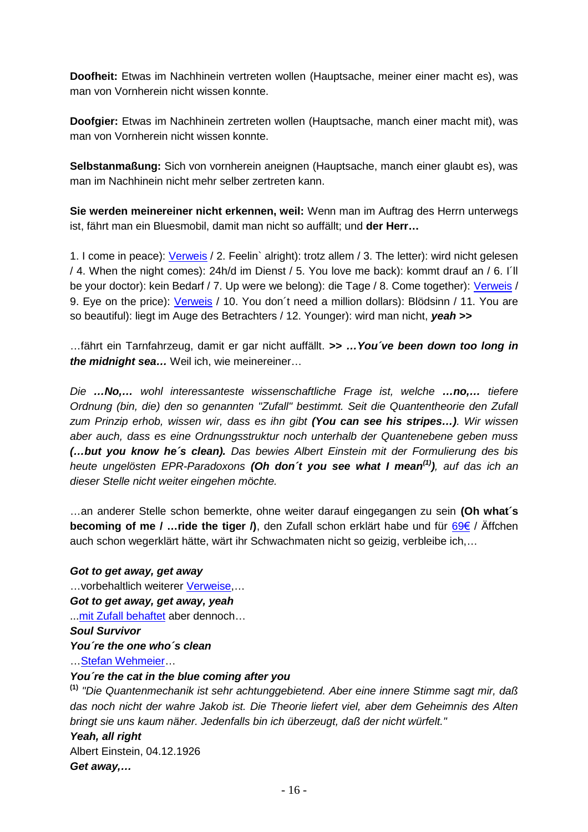**Doofheit:** Etwas im Nachhinein vertreten wollen (Hauptsache, meiner einer macht es), was man von Vornherein nicht wissen konnte.

**Doofgier:** Etwas im Nachhinein zertreten wollen (Hauptsache, manch einer macht mit), was man von Vornherein nicht wissen konnte.

**Selbstanmaßung:** Sich von vornherein aneignen (Hauptsache, manch einer glaubt es), was man im Nachhinein nicht mehr selber zertreten kann.

**Sie werden meinereiner nicht erkennen, weil:** Wenn man im Auftrag des Herrn unterwegs ist, fährt man ein Bluesmobil, damit man nicht so auffällt; und **der Herr…**

1. I come in peace): [Verweis](http://opium-des-volkes.blogspot.de/2013/01/ein-wort-die-pazifisten.html) / 2. Feelin` alright): trotz allem / 3. The letter): wird nicht gelesen / 4. When the night comes): 24h/d im Dienst / 5. You love me back): kommt drauf an / 6. I´ll be your doctor): kein Bedarf / 7. Up were we belong): die Tage / 8. Come together): [Verweis](http://opium-des-volkes.blogspot.de/2013/02/marktgerechtigkeit.html) / 9. Eye on the price): [Verweis](http://opium-des-volkes.blogspot.de/2014/11/umpreisung-aller-preise.html) / 10. You don't need a million dollars): Blödsinn / 11. You are so beautiful): liegt im Auge des Betrachters / 12. Younger): wird man nicht, *yeah >>*

…fährt ein Tarnfahrzeug, damit er gar nicht auffällt. **>>** *…You´ve been down too long in the midnight sea…* Weil ich, wie meinereiner…

*Die …No,… wohl interessanteste wissenschaftliche Frage ist, welche …no,… tiefere Ordnung (bin, die) den so genannten "Zufall" bestimmt. Seit die Quantentheorie den Zufall zum Prinzip erhob, wissen wir, dass es ihn gibt (You can see his stripes…). Wir wissen aber auch, dass es eine Ordnungsstruktur noch unterhalb der Quantenebene geben muss (…but you know he´s clean). Das bewies Albert Einstein mit der Formulierung des bis heute ungelösten EPR-Paradoxons (Oh don´t you see what I mean(1)), auf das ich an dieser Stelle nicht weiter eingehen möchte.*

…an anderer Stelle schon bemerkte, ohne weiter darauf eingegangen zu sein **(Oh what´s becomingof me / …ride the tiger /)**, den Zufall schon erklärt habe und für 69€ / Äffchen auch schon wegerklärt hätte, wärt ihr Schwachmaten nicht so geizig, verbleibe ich,…

*Got to get away, get away* …vorbehaltlich weiterer [Verweise,](http://www.swupload.com/data/Das-holographische-Universum.pdf)… *Got to get away, get away, yeah* ...[mit Zufall behaftet](https://www.youtube.com/watch?v=hZnfbd_BGw8) aber dennoch… *Soul Survivor You´re the one who´s clean* …[Stefan Wehmeier…](http://www.deweles.de/globalisierung.html)

## *You´re the cat in the blue coming after you*

**(1)** *"Die Quantenmechanik ist sehr achtunggebietend. Aber eine innere Stimme sagt mir, daß das noch nicht der wahre Jakob ist. Die Theorie liefert viel, aber dem Geheimnis des Alten bringt sie uns kaum näher. Jedenfalls bin ich überzeugt, daß der nicht würfelt."*

*Yeah, all right* Albert Einstein, 04.12.1926 *Get away,…*